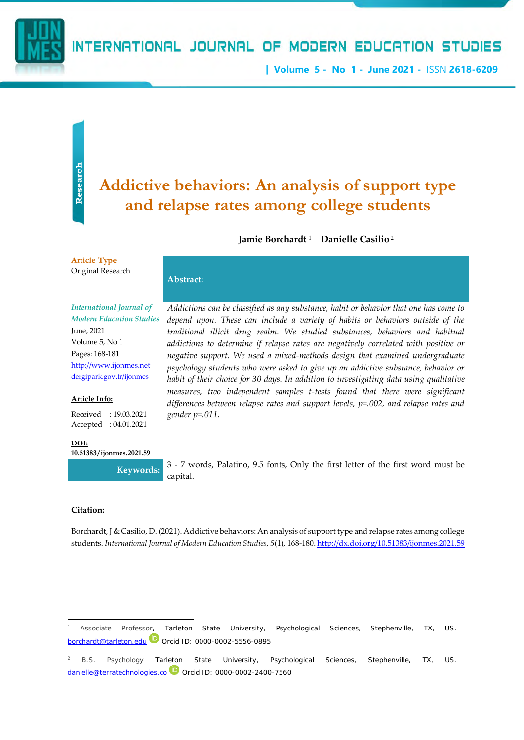

**| Volume 5 - No 1 - June 2021 -** ISSN **2618-6209**

# **and relapse rates among college students**

Jamie Borchardt <sup>1</sup> Danielle Casilio <sup>2</sup>

**Article Type** Original Research

# **Abstract:**

*International Journal of Modern Education Studies*

June, 2021 Volume 5, No 1 Pages: 168-181 [http://www.ijonmes.net](http://www.ijonmes.net/) [dergipark.gov.tr/ijonmes](http://www.dergipark.gov.tr/ijonmes)

#### **Article Info:**

Received : 19.03.2021 Accepted : 04.01.2021

**DOI:**

**10.51383/ijonmes.2021.59**

**didictive behaviors: An analysis of support type**<br>
and **relapse rates among college students**<br>
Jamie Borchard<sup>1</sup> Danielle Casilio<sup>2</sup><br>
Addictions can be chosed in a small and a base on the control of the control of the con *Addictions can be classified as any substance, habit or behavior that one has come to depend upon. These can include a variety of habits or behaviors outside of the traditional illicit drug realm. We studied substances, behaviors and habitual addictions to determine if relapse rates are negatively correlated with positive or negative support. We used a mixed-methods design that examined undergraduate psychology students who were asked to give up an addictive substance, behavior or habit of their choice for 30 days. In addition to investigating data using qualitative measures, two independent samples t-tests found that there were significant differences between relapse rates and support levels, p=.002, and relapse rates and gender p=.011.*

**Keywords:**  $3 - 7$  words, Palatino, 9.5 fonts, Only the first letter of the first word must be capital.

#### **Citation:**

Borchardt, J & Casilio, D. (2021). Addictive behaviors: An analysis of support type and relapse rates among college students. *International Journal of Modern Education Studies, 5*(1), 168-180[. http://dx.doi.org/10.51383/ijonmes.2021.59](http://dx.doi.org/10.51383/ijonmes.2021.59)

<sup>1</sup> Associate Professor, Tarleton State University, Psychological Sciences, Stephenville, TX, US. [borchardt@tarleton.edu](mailto:borchardt@tarleton.edu)<sup>(D</sup> Orcid ID: 0000-0002-5556-0895

<sup>2</sup> B.S. Psychology Tarleton State University, Psychological Sciences, Stephenville, TX, US.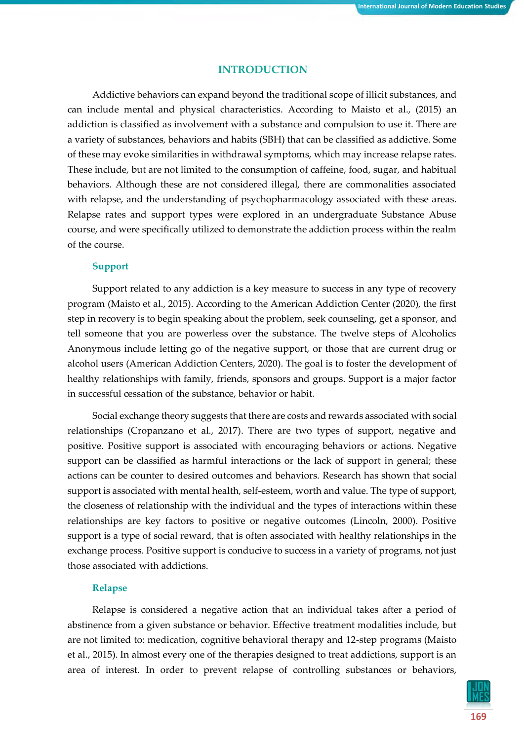# **INTRODUCTION**

Addictive behaviors can expand beyond the traditional scope of illicit substances, and can include mental and physical characteristics. According to Maisto et al., (2015) an addiction is classified as involvement with a substance and compulsion to use it. There are a variety of substances, behaviors and habits (SBH) that can be classified as addictive. Some of these may evoke similarities in withdrawal symptoms, which may increase relapse rates. These include, but are not limited to the consumption of caffeine, food, sugar, and habitual behaviors. Although these are not considered illegal, there are commonalities associated with relapse, and the understanding of psychopharmacology associated with these areas. Relapse rates and support types were explored in an undergraduate Substance Abuse course, and were specifically utilized to demonstrate the addiction process within the realm of the course.

# **Support**

Support related to any addiction is a key measure to success in any type of recovery program (Maisto et al., 2015). According to the American Addiction Center (2020), the first step in recovery is to begin speaking about the problem, seek counseling, get a sponsor, and tell someone that you are powerless over the substance. The twelve steps of Alcoholics Anonymous include letting go of the negative support, or those that are current drug or alcohol users (American Addiction Centers, 2020). The goal is to foster the development of healthy relationships with family, friends, sponsors and groups. Support is a major factor in successful cessation of the substance, behavior or habit.

Social exchange theory suggests that there are costs and rewards associated with social relationships (Cropanzano et al., 2017). There are two types of support, negative and positive. Positive support is associated with encouraging behaviors or actions. Negative support can be classified as harmful interactions or the lack of support in general; these actions can be counter to desired outcomes and behaviors. Research has shown that social support is associated with mental health, self-esteem, worth and value. The type of support, the closeness of relationship with the individual and the types of interactions within these relationships are key factors to positive or negative outcomes (Lincoln, 2000). Positive support is a type of social reward, that is often associated with healthy relationships in the exchange process. Positive support is conducive to success in a variety of programs, not just those associated with addictions.

# **Relapse**

Relapse is considered a negative action that an individual takes after a period of abstinence from a given substance or behavior. Effective treatment modalities include, but are not limited to: medication, cognitive behavioral therapy and 12-step programs (Maisto et al., 2015). In almost every one of the therapies designed to treat addictions, support is an area of interest. In order to prevent relapse of controlling substances or behaviors,

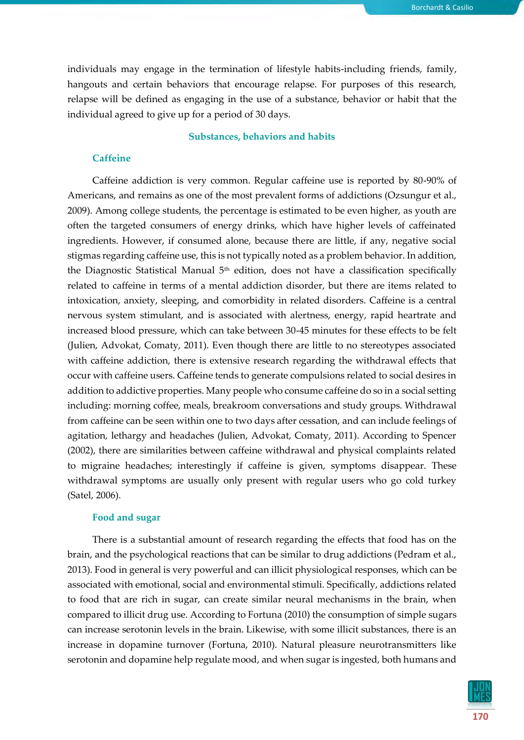individuals may engage in the termination of lifestyle habits-including friends, family, hangouts and certain behaviors that encourage relapse. For purposes of this research, relapse will be defined as engaging in the use of a substance, behavior or habit that the individual agreed to give up for a period of 30 days.

#### **Substances, behaviors and habits**

# **Caffeine**

Caffeine addiction is very common. Regular caffeine use is reported by 80-90% of Americans, and remains as one of the most prevalent forms of addictions (Ozsungur et al., 2009). Among college students, the percentage is estimated to be even higher, as youth are often the targeted consumers of energy drinks, which have higher levels of caffeinated ingredients. However, if consumed alone, because there are little, if any, negative social stigmas regarding caffeine use, this is not typically noted as a problem behavior. In addition, the Diagnostic Statistical Manual  $5<sup>th</sup>$  edition, does not have a classification specifically related to caffeine in terms of a mental addiction disorder, but there are items related to intoxication, anxiety, sleeping, and comorbidity in related disorders. Caffeine is a central nervous system stimulant, and is associated with alertness, energy, rapid heartrate and increased blood pressure, which can take between 30-45 minutes for these effects to be felt (Julien, Advokat, Comaty, 2011). Even though there are little to no stereotypes associated with caffeine addiction, there is extensive research regarding the withdrawal effects that occur with caffeine users. Caffeine tends to generate compulsions related to social desires in addition to addictive properties. Many people who consume caffeine do so in a social setting including: morning coffee, meals, breakroom conversations and study groups. Withdrawal from caffeine can be seen within one to two days after cessation, and can include feelings of agitation, lethargy and headaches (Julien, Advokat, Comaty, 2011). According to Spencer (2002), there are similarities between caffeine withdrawal and physical complaints related to migraine headaches; interestingly if caffeine is given, symptoms disappear. These withdrawal symptoms are usually only present with regular users who go cold turkey (Satel, 2006).

### **Food and sugar**

There is a substantial amount of research regarding the effects that food has on the brain, and the psychological reactions that can be similar to drug addictions (Pedram et al., 2013). Food in general is very powerful and can illicit physiological responses, which can be associated with emotional, social and environmental stimuli. Specifically, addictions related to food that are rich in sugar, can create similar neural mechanisms in the brain, when compared to illicit drug use. According to Fortuna (2010) the consumption of simple sugars can increase serotonin levels in the brain. Likewise, with some illicit substances, there is an increase in dopamine turnover (Fortuna, 2010). Natural pleasure neurotransmitters like serotonin and dopamine help regulate mood, and when sugar is ingested, both humans and

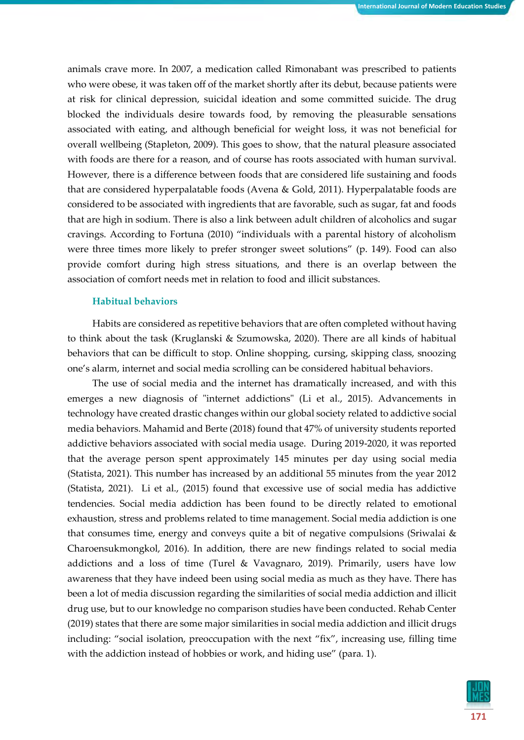animals crave more. In 2007, a medication called Rimonabant was prescribed to patients who were obese, it was taken off of the market shortly after its debut, because patients were at risk for clinical depression, suicidal ideation and some committed suicide. The drug blocked the individuals desire towards food, by removing the pleasurable sensations associated with eating, and although beneficial for weight loss, it was not beneficial for overall wellbeing (Stapleton, 2009). This goes to show, that the natural pleasure associated with foods are there for a reason, and of course has roots associated with human survival. However, there is a difference between foods that are considered life sustaining and foods that are considered hyperpalatable foods (Avena & Gold, 2011). Hyperpalatable foods are considered to be associated with ingredients that are favorable, such as sugar, fat and foods that are high in sodium. There is also a link between adult children of alcoholics and sugar cravings. According to Fortuna (2010) "individuals with a parental history of alcoholism were three times more likely to prefer stronger sweet solutions" (p. 149). Food can also provide comfort during high stress situations, and there is an overlap between the association of comfort needs met in relation to food and illicit substances.

## **Habitual behaviors**

Habits are considered as repetitive behaviors that are often completed without having to think about the task (Kruglanski & Szumowska, 2020). There are all kinds of habitual behaviors that can be difficult to stop. Online shopping, cursing, skipping class, snoozing one's alarm, internet and social media scrolling can be considered habitual behaviors.

The use of social media and the internet has dramatically increased, and with this emerges a new diagnosis of "internet addictions" (Li et al., 2015). Advancements in technology have created drastic changes within our global society related to addictive social media behaviors. Mahamid and Berte (2018) found that 47% of university students reported addictive behaviors associated with social media usage. During 2019-2020, it was reported that the average person spent approximately 145 minutes per day using social media (Statista, 2021). This number has increased by an additional 55 minutes from the year 2012 (Statista, 2021). Li et al., (2015) found that excessive use of social media has addictive tendencies. Social media addiction has been found to be directly related to emotional exhaustion, stress and problems related to time management. Social media addiction is one that consumes time, energy and conveys quite a bit of negative compulsions (Sriwalai  $\&$ Charoensukmongkol, 2016). In addition, there are new findings related to social media addictions and a loss of time (Turel & Vavagnaro, 2019). Primarily, users have low awareness that they have indeed been using social media as much as they have. There has been a lot of media discussion regarding the similarities of social media addiction and illicit drug use, but to our knowledge no comparison studies have been conducted. Rehab Center (2019) states that there are some major similarities in social media addiction and illicit drugs including: "social isolation, preoccupation with the next "fix", increasing use, filling time with the addiction instead of hobbies or work, and hiding use" (para. 1).

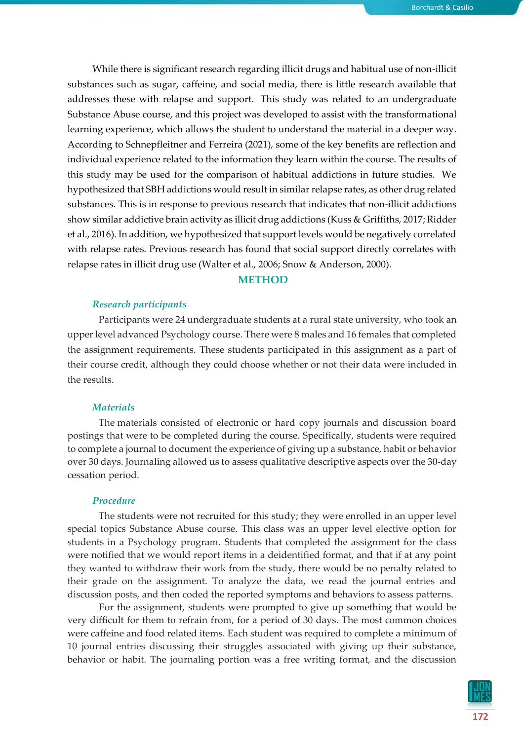While there is significant research regarding illicit drugs and habitual use of non-illicit substances such as sugar, caffeine, and social media, there is little research available that addresses these with relapse and support. This study was related to an undergraduate Substance Abuse course, and this project was developed to assist with the transformational learning experience, which allows the student to understand the material in a deeper way. According to Schnepfleitner and Ferreira (2021), some of the key benefits are reflection and individual experience related to the information they learn within the course. The results of this study may be used for the comparison of habitual addictions in future studies. We hypothesized that SBH addictions would result in similar relapse rates, as other drug related substances. This is in response to previous research that indicates that non-illicit addictions show similar addictive brain activity as illicit drug addictions (Kuss & Griffiths, 2017; Ridder et al., 2016). In addition, we hypothesized that support levels would be negatively correlated with relapse rates. Previous research has found that social support directly correlates with relapse rates in illicit drug use (Walter et al., 2006; Snow & Anderson, 2000).

# **METHOD**

### *Research participants*

Participants were 24 undergraduate students at a rural state university, who took an upper level advanced Psychology course. There were 8 males and 16 females that completed the assignment requirements. These students participated in this assignment as a part of their course credit, although they could choose whether or not their data were included in the results.

#### *Materials*

The materials consisted of electronic or hard copy journals and discussion board postings that were to be completed during the course. Specifically, students were required to complete a journal to document the experience of giving up a substance, habit or behavior over 30 days. Journaling allowed us to assess qualitative descriptive aspects over the 30-day cessation period.

#### *Procedure*

The students were not recruited for this study; they were enrolled in an upper level special topics Substance Abuse course. This class was an upper level elective option for students in a Psychology program. Students that completed the assignment for the class were notified that we would report items in a deidentified format, and that if at any point they wanted to withdraw their work from the study, there would be no penalty related to their grade on the assignment. To analyze the data, we read the journal entries and discussion posts, and then coded the reported symptoms and behaviors to assess patterns.

For the assignment, students were prompted to give up something that would be very difficult for them to refrain from, for a period of 30 days. The most common choices were caffeine and food related items. Each student was required to complete a minimum of 10 journal entries discussing their struggles associated with giving up their substance, behavior or habit. The journaling portion was a free writing format, and the discussion

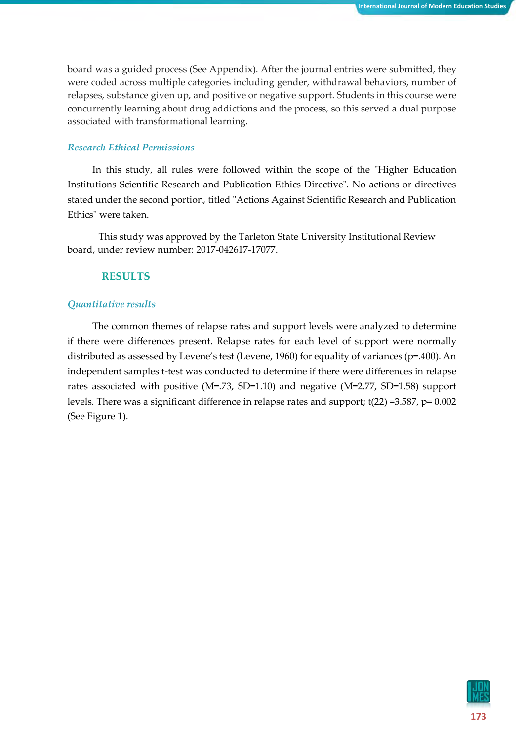board was a guided process (See Appendix). After the journal entries were submitted, they were coded across multiple categories including gender, withdrawal behaviors, number of relapses, substance given up, and positive or negative support. Students in this course were concurrently learning about drug addictions and the process, so this served a dual purpose associated with transformational learning.

# *Research Ethical Permissions*

In this study, all rules were followed within the scope of the "Higher Education Institutions Scientific Research and Publication Ethics Directive". No actions or directives stated under the second portion, titled "Actions Against Scientific Research and Publication Ethics" were taken.

This study was approved by the Tarleton State University Institutional Review board, under review number: 2017-042617-17077.

# **RESULTS**

# *Quantitative results*

The common themes of relapse rates and support levels were analyzed to determine if there were differences present. Relapse rates for each level of support were normally distributed as assessed by Levene's test (Levene, 1960) for equality of variances (p=.400). An independent samples t-test was conducted to determine if there were differences in relapse rates associated with positive (M=.73, SD=1.10) and negative (M=2.77, SD=1.58) support levels. There was a significant difference in relapse rates and support; t(22) =3.587, p= 0.002 (See Figure 1).

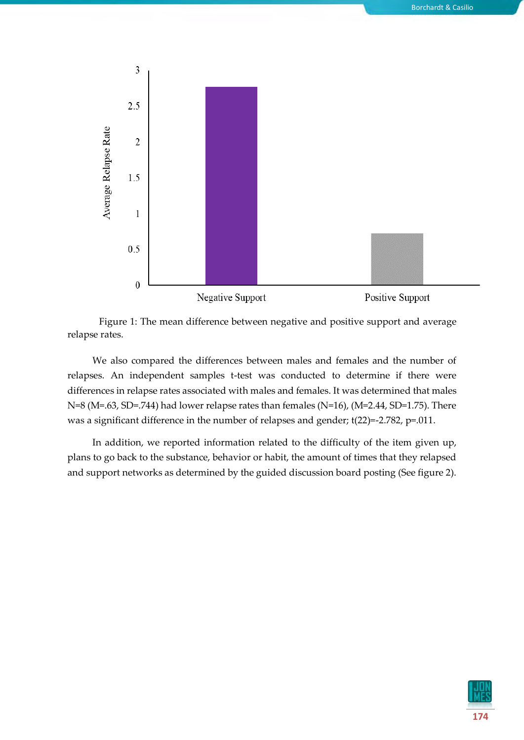

Figure 1: The mean difference between negative and positive support and average relapse rates.

We also compared the differences between males and females and the number of relapses. An independent samples t-test was conducted to determine if there were differences in relapse rates associated with males and females. It was determined that males N=8 (M=.63, SD=.744) had lower relapse rates than females (N=16), (M=2.44, SD=1.75). There was a significant difference in the number of relapses and gender; t(22)=-2.782, p=.011.

In addition, we reported information related to the difficulty of the item given up, plans to go back to the substance, behavior or habit, the amount of times that they relapsed and support networks as determined by the guided discussion board posting (See figure 2).

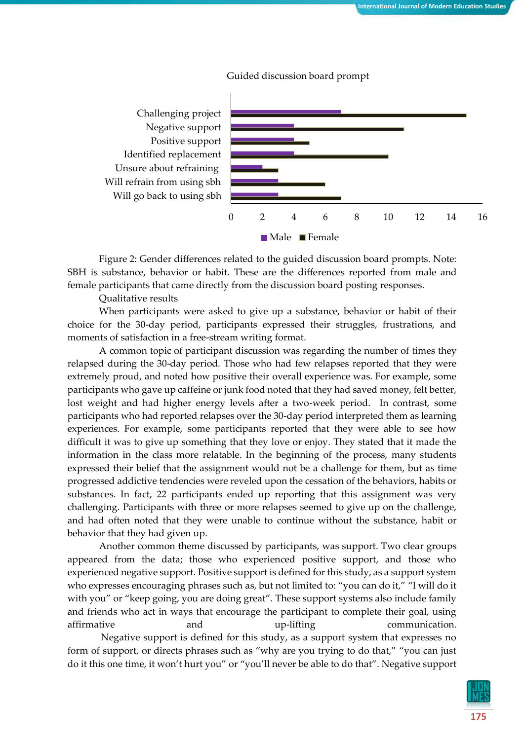

Guided discussion board prompt

Figure 2: Gender differences related to the guided discussion board prompts. Note: SBH is substance, behavior or habit. These are the differences reported from male and female participants that came directly from the discussion board posting responses.

Qualitative results

When participants were asked to give up a substance, behavior or habit of their choice for the 30-day period, participants expressed their struggles, frustrations, and moments of satisfaction in a free-stream writing format.

A common topic of participant discussion was regarding the number of times they relapsed during the 30-day period. Those who had few relapses reported that they were extremely proud, and noted how positive their overall experience was. For example, some participants who gave up caffeine or junk food noted that they had saved money, felt better, lost weight and had higher energy levels after a two-week period. In contrast, some participants who had reported relapses over the 30-day period interpreted them as learning experiences. For example, some participants reported that they were able to see how difficult it was to give up something that they love or enjoy. They stated that it made the information in the class more relatable. In the beginning of the process, many students expressed their belief that the assignment would not be a challenge for them, but as time progressed addictive tendencies were reveled upon the cessation of the behaviors, habits or substances. In fact, 22 participants ended up reporting that this assignment was very challenging. Participants with three or more relapses seemed to give up on the challenge, and had often noted that they were unable to continue without the substance, habit or behavior that they had given up.

Another common theme discussed by participants, was support. Two clear groups appeared from the data; those who experienced positive support, and those who experienced negative support. Positive support is defined for this study, as a support system who expresses encouraging phrases such as, but not limited to: "you can do it," "I will do it with you" or "keep going, you are doing great". These support systems also include family and friends who act in ways that encourage the participant to complete their goal, using affirmative and up-lifting communication. Negative support is defined for this study, as a support system that expresses no form of support, or directs phrases such as "why are you trying to do that," "you can just

do it this one time, it won't hurt you" or "you'll never be able to do that". Negative support

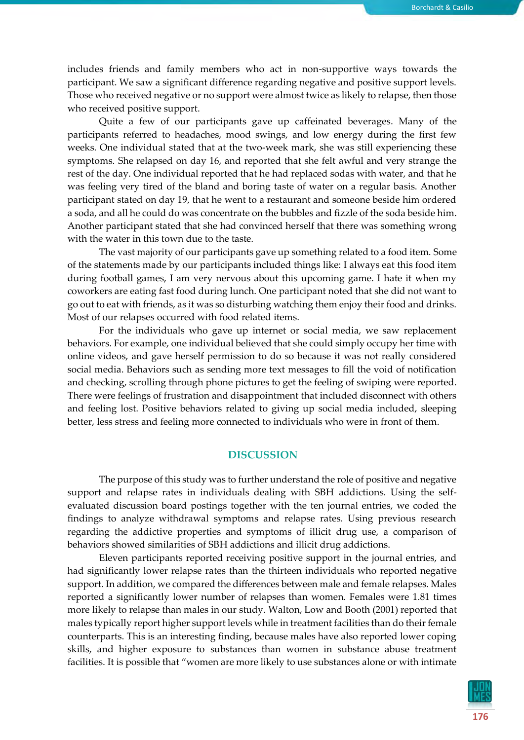includes friends and family members who act in non-supportive ways towards the participant. We saw a significant difference regarding negative and positive support levels. Those who received negative or no support were almost twice as likely to relapse, then those who received positive support.

Quite a few of our participants gave up caffeinated beverages. Many of the participants referred to headaches, mood swings, and low energy during the first few weeks. One individual stated that at the two-week mark, she was still experiencing these symptoms. She relapsed on day 16, and reported that she felt awful and very strange the rest of the day. One individual reported that he had replaced sodas with water, and that he was feeling very tired of the bland and boring taste of water on a regular basis. Another participant stated on day 19, that he went to a restaurant and someone beside him ordered a soda, and all he could do was concentrate on the bubbles and fizzle of the soda beside him. Another participant stated that she had convinced herself that there was something wrong with the water in this town due to the taste.

The vast majority of our participants gave up something related to a food item. Some of the statements made by our participants included things like: I always eat this food item during football games, I am very nervous about this upcoming game. I hate it when my coworkers are eating fast food during lunch. One participant noted that she did not want to go out to eat with friends, as it was so disturbing watching them enjoy their food and drinks. Most of our relapses occurred with food related items.

For the individuals who gave up internet or social media, we saw replacement behaviors. For example, one individual believed that she could simply occupy her time with online videos, and gave herself permission to do so because it was not really considered social media. Behaviors such as sending more text messages to fill the void of notification and checking, scrolling through phone pictures to get the feeling of swiping were reported. There were feelings of frustration and disappointment that included disconnect with others and feeling lost. Positive behaviors related to giving up social media included, sleeping better, less stress and feeling more connected to individuals who were in front of them.

# **DISCUSSION**

The purpose of this study was to further understand the role of positive and negative support and relapse rates in individuals dealing with SBH addictions. Using the selfevaluated discussion board postings together with the ten journal entries, we coded the findings to analyze withdrawal symptoms and relapse rates. Using previous research regarding the addictive properties and symptoms of illicit drug use, a comparison of behaviors showed similarities of SBH addictions and illicit drug addictions.

Eleven participants reported receiving positive support in the journal entries, and had significantly lower relapse rates than the thirteen individuals who reported negative support. In addition, we compared the differences between male and female relapses. Males reported a significantly lower number of relapses than women. Females were 1.81 times more likely to relapse than males in our study. Walton, Low and Booth (2001) reported that males typically report higher support levels while in treatment facilities than do their female counterparts. This is an interesting finding, because males have also reported lower coping skills, and higher exposure to substances than women in substance abuse treatment facilities. It is possible that "women are more likely to use substances alone or with intimate

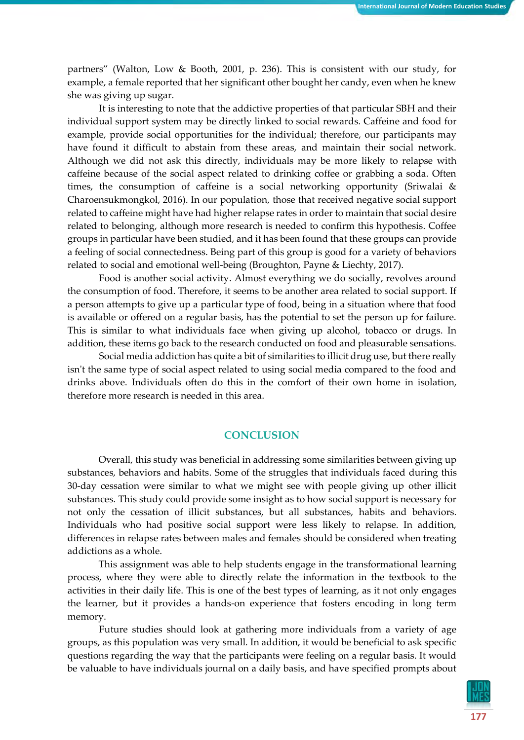partners" (Walton, Low & Booth, 2001, p. 236). This is consistent with our study, for example, a female reported that her significant other bought her candy, even when he knew she was giving up sugar.

It is interesting to note that the addictive properties of that particular SBH and their individual support system may be directly linked to social rewards. Caffeine and food for example, provide social opportunities for the individual; therefore, our participants may have found it difficult to abstain from these areas, and maintain their social network. Although we did not ask this directly, individuals may be more likely to relapse with caffeine because of the social aspect related to drinking coffee or grabbing a soda. Often times, the consumption of caffeine is a social networking opportunity (Sriwalai & Charoensukmongkol, 2016). In our population, those that received negative social support related to caffeine might have had higher relapse rates in order to maintain that social desire related to belonging, although more research is needed to confirm this hypothesis. Coffee groups in particular have been studied, and it has been found that these groups can provide a feeling of social connectedness. Being part of this group is good for a variety of behaviors related to social and emotional well-being (Broughton, Payne & Liechty, 2017).

Food is another social activity. Almost everything we do socially, revolves around the consumption of food. Therefore, it seems to be another area related to social support. If a person attempts to give up a particular type of food, being in a situation where that food is available or offered on a regular basis, has the potential to set the person up for failure. This is similar to what individuals face when giving up alcohol, tobacco or drugs. In addition, these items go back to the research conducted on food and pleasurable sensations.

Social media addiction has quite a bit of similarities to illicit drug use, but there really isn't the same type of social aspect related to using social media compared to the food and drinks above. Individuals often do this in the comfort of their own home in isolation, therefore more research is needed in this area.

# **CONCLUSION**

Overall, this study was beneficial in addressing some similarities between giving up substances, behaviors and habits. Some of the struggles that individuals faced during this 30-day cessation were similar to what we might see with people giving up other illicit substances. This study could provide some insight as to how social support is necessary for not only the cessation of illicit substances, but all substances, habits and behaviors. Individuals who had positive social support were less likely to relapse. In addition, differences in relapse rates between males and females should be considered when treating addictions as a whole.

This assignment was able to help students engage in the transformational learning process, where they were able to directly relate the information in the textbook to the activities in their daily life. This is one of the best types of learning, as it not only engages the learner, but it provides a hands-on experience that fosters encoding in long term memory.

Future studies should look at gathering more individuals from a variety of age groups, as this population was very small. In addition, it would be beneficial to ask specific questions regarding the way that the participants were feeling on a regular basis. It would be valuable to have individuals journal on a daily basis, and have specified prompts about

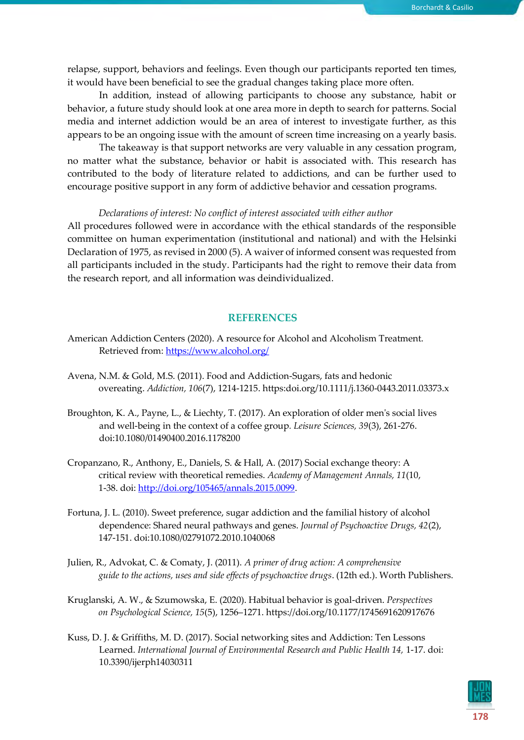relapse, support, behaviors and feelings. Even though our participants reported ten times, it would have been beneficial to see the gradual changes taking place more often.

In addition, instead of allowing participants to choose any substance, habit or behavior, a future study should look at one area more in depth to search for patterns. Social media and internet addiction would be an area of interest to investigate further, as this appears to be an ongoing issue with the amount of screen time increasing on a yearly basis.

The takeaway is that support networks are very valuable in any cessation program, no matter what the substance, behavior or habit is associated with. This research has contributed to the body of literature related to addictions, and can be further used to encourage positive support in any form of addictive behavior and cessation programs.

#### *Declarations of interest: No conflict of interest associated with either author*

All procedures followed were in accordance with the ethical standards of the responsible committee on human experimentation (institutional and national) and with the Helsinki Declaration of 1975, as revised in 2000 (5). A waiver of informed consent was requested from all participants included in the study. Participants had the right to remove their data from the research report, and all information was deindividualized.

# **REFERENCES**

- American Addiction Centers (2020). A resource for Alcohol and Alcoholism Treatment. Retrieved from:<https://www.alcohol.org/>
- Avena, N.M. & Gold, M.S. (2011). Food and Addiction-Sugars, fats and hedonic overeating. *Addiction, 106*(7), 1214-1215. https:doi.org/10.1111/j.1360-0443.2011.03373.x
- Broughton, K. A., Payne, L., & Liechty, T. (2017). An exploration of older men's social lives and well-being in the context of a coffee group*. Leisure Sciences, 39*(3), 261-276. doi:10.1080/01490400.2016.1178200
- Cropanzano, R., Anthony, E., Daniels, S. & Hall, A. (2017) Social exchange theory: A critical review with theoretical remedies. *Academy of Management Annals, 11*(10, 1-38. doi: [http://doi.org/105465/annals.2015.0099.](http://doi.org/105465/annals.2015.0099)
- Fortuna, J. L. (2010). Sweet preference, sugar addiction and the familial history of alcohol dependence: Shared neural pathways and genes. *Journal of Psychoactive Drugs, 42*(2), 147-151. doi:10.1080/02791072.2010.1040068
- Julien, R., Advokat, C. & Comaty, J. (2011). *A primer of drug action: A comprehensive guide to the actions, uses and side effects of psychoactive drugs*. (12th ed.). Worth Publishers.
- Kruglanski, A. W., & Szumowska, E. (2020). Habitual behavior is goal-driven. *Perspectives on Psychological Science, 15*(5), 1256–1271. https://doi.org/10.1177/1745691620917676
- Kuss, D. J. & Griffiths, M. D. (2017). Social networking sites and Addiction: Ten Lessons Learned. *International Journal of Environmental Research and Public Health 14,* 1-17. doi: 10.3390/ijerph14030311

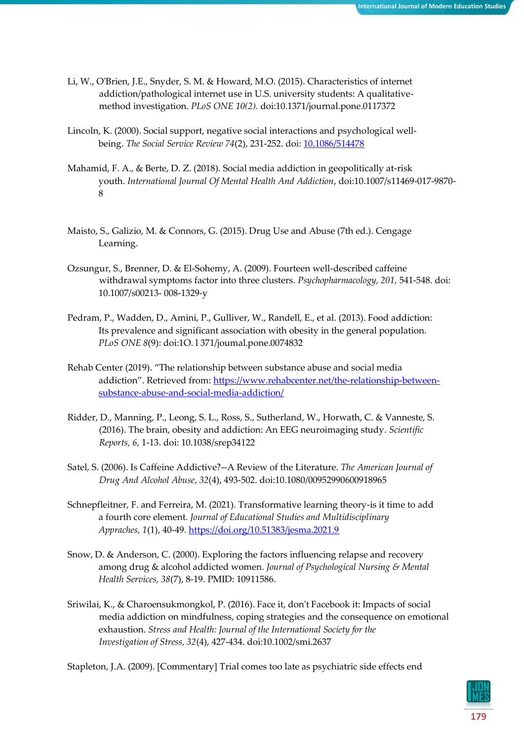- Li, W., O'Brien, J.E., Snyder, S. M. & Howard, M.O. (2015). Characteristics of internet addiction/pathological internet use in U.S. university students: A qualitativemethod investigation. *PLoS ONE 10(2).* doi:10.1371/journal.pone.0117372
- Lincoln, K. (2000). Social support, negative social interactions and psychological wellbeing. *The Social Service Review 74*(2), 231-252. doi: [10.1086/514478](https://dx.doi.org/10.1086%2F514478)
- Mahamid, F. A., & Berte, D. Z. (2018). Social media addiction in geopolitically at-risk youth. *International Journal Of Mental Health And Addiction*, doi:10.1007/s11469-017-9870- 8
- Maisto, S., Galizio, M. & Connors, G. (2015). Drug Use and Abuse (7th ed.). Cengage Learning.
- Ozsungur, S., Brenner, D. & El-Sohemy, A. (2009). Fourteen well-described caffeine withdrawal symptoms factor into three clusters. *Psychopharmacology, 201,* 541-548. doi: 10.1007/s00213- 008-1329-y
- Pedram, P., Wadden, D., Amini, P., Gulliver, W., Randell, E., et al. (2013). Food addiction: Its prevalence and significant association with obesity in the general population. *PLoS ONE 8*(9): doi:1O. l 371/joumal.pone.0074832
- Rehab Center (2019). "The relationship between substance abuse and social media addiction". Retrieved from: [https://www.rehabcenter.net/the-relationship-between](https://www.rehabcenter.net/the-relationship-between-substance-abuse-and-social-media-addiction/)[substance-abuse-and-social-media-addiction/](https://www.rehabcenter.net/the-relationship-between-substance-abuse-and-social-media-addiction/)
- Ridder, D., Manning, P., Leong, S. L., Ross, S., Sutherland, W., Horwath, C. & Vanneste, S. (2016). The brain, obesity and addiction: An EEG neuroimaging study. *Scientific Reports, 6,* 1-13. doi: 10.1038/srep34122
- Satel, S. (2006). Is Caffeine Addictive?--A Review of the Literature. *The American Journal of Drug And Alcohol Abuse*, *32*(4), 493-502. doi:10.1080/00952990600918965
- Schnepfleitner, F. and Ferreira, M. (2021). Transformative learning theory-is it time to add a fourth core element*. Journal of Educational Studies and Multidisciplinary Appraches, 1*(1), 40-49.<https://doi.org/10.51383/jesma.2021.9>
- Snow, D. & Anderson, C. (2000). Exploring the factors influencing relapse and recovery among drug & alcohol addicted women. *Journal of Psychological Nursing & Mental Health Services, 38*(7), 8-19. PMID: 10911586.
- Sriwilai, K., & Charoensukmongkol, P. (2016). Face it, don't Facebook it: Impacts of social media addiction on mindfulness, coping strategies and the consequence on emotional exhaustion. *Stress and Health: Journal of the International Society for the Investigation of Stress, 32*(4), 427-434. doi:10.1002/smi.2637

Stapleton, J.A. (2009). [Commentary] Trial comes too late as psychiatric side effects end

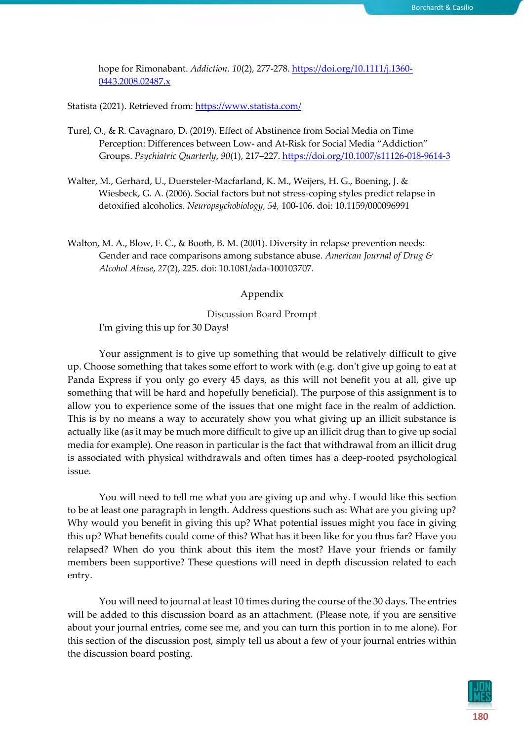hope for Rimonabant. *Addiction. 10*(2), 277-278[. https://doi.org/10.1111/j.1360-](https://doi.org/10.1111/j.1360-0443.2008.02487.x) [0443.2008.02487.x](https://doi.org/10.1111/j.1360-0443.2008.02487.x)

Statista (2021). Retrieved from:<https://www.statista.com/>

- Turel, O., & R. Cavagnaro, D. (2019). Effect of Abstinence from Social Media on Time Perception: Differences between Low- and At-Risk for Social Media "Addiction" Groups. *Psychiatric Quarterly*, *90*(1), 217–227.<https://doi.org/10.1007/s11126-018-9614-3>
- Walter, M., Gerhard, U., Duersteler-Macfarland, K. M., Weijers, H. G., Boening, J. & Wiesbeck, G. A. (2006). Social factors but not stress-coping styles predict relapse in detoxified alcoholics. *Neuropsychobiology, 54,* 100-106. doi: 10.1159/000096991
- Walton, M. A., Blow, F. C., & Booth, B. M. (2001). Diversity in relapse prevention needs: Gender and race comparisons among substance abuse. *American Journal of Drug & Alcohol Abuse*, *27*(2), 225. doi: 10.1081/ada-100103707.

# Appendix

Discussion Board Prompt

I'm giving this up for 30 Days!

Your assignment is to give up something that would be relatively difficult to give up. Choose something that takes some effort to work with (e.g. don't give up going to eat at Panda Express if you only go every 45 days, as this will not benefit you at all, give up something that will be hard and hopefully beneficial). The purpose of this assignment is to allow you to experience some of the issues that one might face in the realm of addiction. This is by no means a way to accurately show you what giving up an illicit substance is actually like (as it may be much more difficult to give up an illicit drug than to give up social media for example). One reason in particular is the fact that withdrawal from an illicit drug is associated with physical withdrawals and often times has a deep-rooted psychological issue.

You will need to tell me what you are giving up and why. I would like this section to be at least one paragraph in length. Address questions such as: What are you giving up? Why would you benefit in giving this up? What potential issues might you face in giving this up? What benefits could come of this? What has it been like for you thus far? Have you relapsed? When do you think about this item the most? Have your friends or family members been supportive? These questions will need in depth discussion related to each entry.

You will need to journal at least 10 times during the course of the 30 days. The entries will be added to this discussion board as an attachment. (Please note, if you are sensitive about your journal entries, come see me, and you can turn this portion in to me alone). For this section of the discussion post, simply tell us about a few of your journal entries within the discussion board posting.